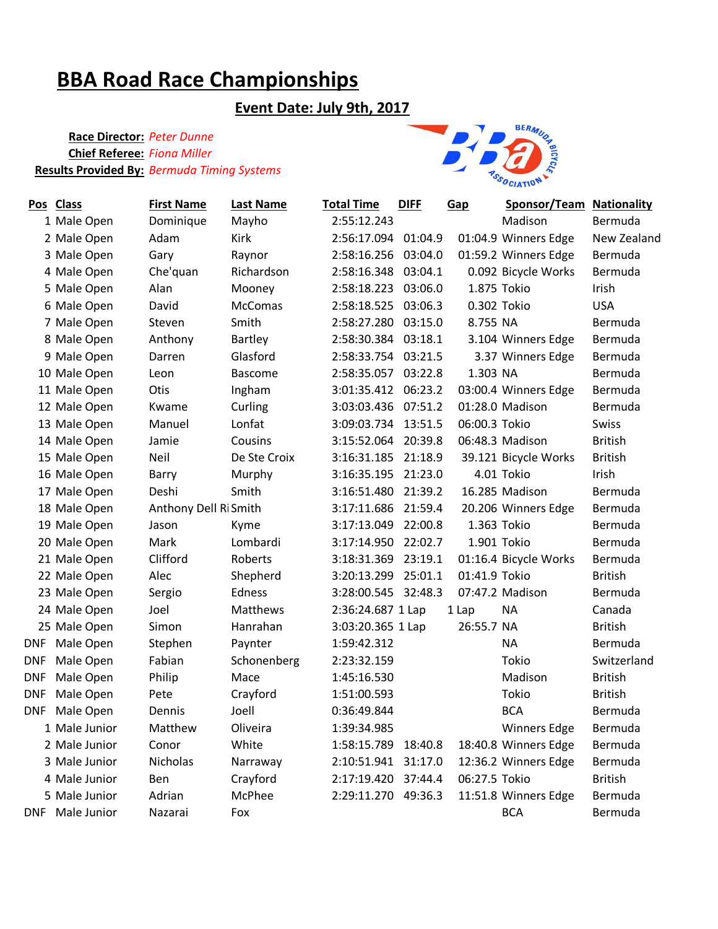# **BBA Road Race Championships**

## **Event Date: July 9th, 2017**

### **Race Director:** *Peter Dunne* **Chief Referee:** *Fiona Miller* **Results Provided By:** *Bermuda Timing Systems*



|            | Pos Class       | <b>First Name</b>    | <b>Last Name</b> | <b>Total Time</b>   | <b>DIFF</b> | Gap           | <b>Sponsor/Team Nationality</b> |                |
|------------|-----------------|----------------------|------------------|---------------------|-------------|---------------|---------------------------------|----------------|
|            | 1 Male Open     | Dominique            | Mayho            | 2:55:12.243         |             |               | Madison                         | Bermuda        |
|            | 2 Male Open     | Adam                 | Kirk             | 2:56:17.094         | 01:04.9     |               | 01:04.9 Winners Edge            | New Zealand    |
|            | 3 Male Open     | Gary                 | Raynor           | 2:58:16.256         | 03:04.0     |               | 01:59.2 Winners Edge            | Bermuda        |
|            | 4 Male Open     | Che'quan             | Richardson       | 2:58:16.348         | 03:04.1     |               | 0.092 Bicycle Works             | Bermuda        |
|            | 5 Male Open     | Alan                 | Mooney           | 2:58:18.223         | 03:06.0     | 1.875 Tokio   |                                 | Irish          |
|            | 6 Male Open     | David                | McComas          | 2:58:18.525         | 03:06.3     | 0.302 Tokio   |                                 | <b>USA</b>     |
|            | 7 Male Open     | Steven               | Smith            | 2:58:27.280         | 03:15.0     | 8.755 NA      |                                 | Bermuda        |
|            | 8 Male Open     | Anthony              | Bartley          | 2:58:30.384 03:18.1 |             |               | 3.104 Winners Edge              | Bermuda        |
|            | 9 Male Open     | Darren               | Glasford         | 2:58:33.754         | 03:21.5     |               | 3.37 Winners Edge               | Bermuda        |
|            | 10 Male Open    | Leon                 | <b>Bascome</b>   | 2:58:35.057         | 03:22.8     | 1.303 NA      |                                 | Bermuda        |
|            | 11 Male Open    | Otis                 | Ingham           | 3:01:35.412         | 06:23.2     |               | 03:00.4 Winners Edge            | Bermuda        |
|            | 12 Male Open    | Kwame                | Curling          | 3:03:03.436         | 07:51.2     |               | 01:28.0 Madison                 | Bermuda        |
|            | 13 Male Open    | Manuel               | Lonfat           | 3:09:03.734 13:51.5 |             | 06:00.3 Tokio |                                 | Swiss          |
|            | 14 Male Open    | Jamie                | Cousins          | 3:15:52.064         | 20:39.8     |               | 06:48.3 Madison                 | <b>British</b> |
|            | 15 Male Open    | Neil                 | De Ste Croix     | 3:16:31.185         | 21:18.9     |               | 39.121 Bicycle Works            | <b>British</b> |
|            | 16 Male Open    | Barry                | Murphy           | 3:16:35.195         | 21:23.0     |               | 4.01 Tokio                      | Irish          |
|            | 17 Male Open    | Deshi                | Smith            | 3:16:51.480         | 21:39.2     |               | 16.285 Madison                  | Bermuda        |
|            | 18 Male Open    | Anthony Dell RiSmith |                  | 3:17:11.686         | 21:59.4     |               | 20.206 Winners Edge             | Bermuda        |
|            | 19 Male Open    | Jason                | Kyme             | 3:17:13.049         | 22:00.8     |               | 1.363 Tokio                     | Bermuda        |
|            | 20 Male Open    | Mark                 | Lombardi         | 3:17:14.950         | 22:02.7     | 1.901 Tokio   |                                 | Bermuda        |
|            | 21 Male Open    | Clifford             | Roberts          | 3:18:31.369         | 23:19.1     |               | 01:16.4 Bicycle Works           | Bermuda        |
|            | 22 Male Open    | Alec                 | Shepherd         | 3:20:13.299         | 25:01.1     | 01:41.9 Tokio |                                 | <b>British</b> |
|            | 23 Male Open    | Sergio               | Edness           | 3:28:00.545 32:48.3 |             |               | 07:47.2 Madison                 | Bermuda        |
|            | 24 Male Open    | Joel                 | Matthews         | 2:36:24.687 1 Lap   |             | 1 Lap         | <b>NA</b>                       | Canada         |
|            | 25 Male Open    | Simon                | Hanrahan         | 3:03:20.365 1 Lap   |             | 26:55.7 NA    |                                 | <b>British</b> |
| DNF        | Male Open       | Stephen              | Paynter          | 1:59:42.312         |             |               | <b>NA</b>                       | Bermuda        |
| DNF        | Male Open       | Fabian               | Schonenberg      | 2:23:32.159         |             |               | Tokio                           | Switzerland    |
| DNF        | Male Open       | Philip               | Mace             | 1:45:16.530         |             |               | Madison                         | <b>British</b> |
| <b>DNF</b> | Male Open       | Pete                 | Crayford         | 1:51:00.593         |             |               | Tokio                           | <b>British</b> |
| DNF        | Male Open       | Dennis               | Joell            | 0:36:49.844         |             |               | <b>BCA</b>                      | Bermuda        |
|            | 1 Male Junior   | Matthew              | Oliveira         | 1:39:34.985         |             |               | <b>Winners Edge</b>             | Bermuda        |
|            | 2 Male Junior   | Conor                | White            | 1:58:15.789         | 18:40.8     |               | 18:40.8 Winners Edge            | Bermuda        |
|            | 3 Male Junior   | Nicholas             | Narraway         | 2:10:51.941         | 31:17.0     |               | 12:36.2 Winners Edge            | Bermuda        |
|            | 4 Male Junior   | Ben                  | Crayford         | 2:17:19.420         | 37:44.4     | 06:27.5 Tokio |                                 | <b>British</b> |
|            | 5 Male Junior   | Adrian               | McPhee           | 2:29:11.270 49:36.3 |             |               | 11:51.8 Winners Edge            | Bermuda        |
|            | DNF Male Junior | Nazarai              | Fox              |                     |             |               | <b>BCA</b>                      | Bermuda        |